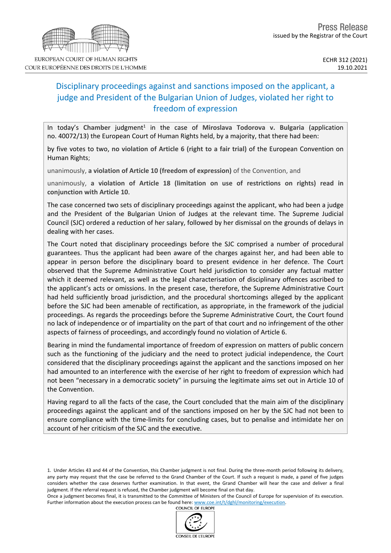# Disciplinary proceedings against and sanctions imposed on the applicant, a judge and President of the Bulgarian Union of Judges, violated her right to freedom of expression

In today's Chamber judgment<sup>1</sup> in the case of Miroslava Todorova v. Bulgaria (application no. 40072/13) the European Court of Human Rights held, by a majority, that there had been:

by five votes to two, **no violation of Article 6 (right to a fair trial)** of the European Convention on Human Rights;

unanimously, **a violation of Article 10 (freedom of expression)** of the Convention, and

unanimously, **a violation of Article 18 (limitation on use of restrictions on rights) read in conjunction with Article 10**.

The case concerned two sets of disciplinary proceedings against the applicant, who had been a judge and the President of the Bulgarian Union of Judges at the relevant time. The Supreme Judicial Council (SJC) ordered a reduction of her salary, followed by her dismissal on the grounds of delays in dealing with her cases.

The Court noted that disciplinary proceedings before the SJC comprised a number of procedural guarantees. Thus the applicant had been aware of the charges against her, and had been able to appear in person before the disciplinary board to present evidence in her defence. The Court observed that the Supreme Administrative Court held jurisdiction to consider any factual matter which it deemed relevant, as well as the legal characterisation of disciplinary offences ascribed to the applicant's acts or omissions. In the present case, therefore, the Supreme Administrative Court had held sufficiently broad jurisdiction, and the procedural shortcomings alleged by the applicant before the SJC had been amenable of rectification, as appropriate, in the framework of the judicial proceedings. As regards the proceedings before the Supreme Administrative Court, the Court found no lack of independence or of impartiality on the part of that court and no infringement of the other aspects of fairness of proceedings, and accordingly found no violation of Article 6.

Bearing in mind the fundamental importance of freedom of expression on matters of public concern such as the functioning of the judiciary and the need to protect judicial independence, the Court considered that the disciplinary proceedings against the applicant and the sanctions imposed on her had amounted to an interference with the exercise of her right to freedom of expression which had not been "necessary in a democratic society" in pursuing the legitimate aims set out in Article 10 of the Convention.

Having regard to all the facts of the case, the Court concluded that the main aim of the disciplinary proceedings against the applicant and of the sanctions imposed on her by the SJC had not been to ensure compliance with the time-limits for concluding cases, but to penalise and intimidate her on account of her criticism of the SJC and the executive.

1. Under Articles 43 and 44 of the Convention, this Chamber judgment is not final. During the three-month period following its delivery, any party may request that the case be referred to the Grand Chamber of the Court. If such a request is made, a panel of five judges considers whether the case deserves further examination. In that event, the Grand Chamber will hear the case and deliver a final judgment. If the referral request is refused, the Chamber judgment will become final on that day.

Once a judgment becomes final, it is transmitted to the Committee of Ministers of the Council of Europe for supervision of its execution. Further information about the execution process can be found here: [www.coe.int/t/dghl/monitoring/execution](http://www.coe.int/t/dghl/monitoring/execution). **COUNCIL OF EUROPE** 





COUR EUROPÉENNE DES DROITS DE L'HOMME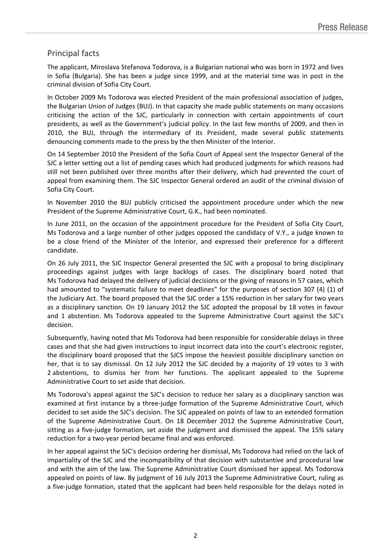# Principal facts

The applicant, Miroslava Stefanova Todorova, is a Bulgarian national who was born in 1972 and lives in Sofia (Bulgaria). She has been a judge since 1999, and at the material time was in post in the criminal division of Sofia City Court.

In October 2009 Ms Todorova was elected President of the main professional association of judges, the Bulgarian Union of Judges (BUJ). In that capacity she made public statements on many occasions criticising the action of the SJC, particularly in connection with certain appointments of court presidents, as well as the Government's judicial policy. In the last few months of 2009, and then in 2010, the BUJ, through the intermediary of its President, made several public statements denouncing comments made to the press by the then Minister of the Interior.

On 14 September 2010 the President of the Sofia Court of Appeal sent the Inspector General of the SJC a letter setting out a list of pending cases which had produced judgments for which reasons had still not been published over three months after their delivery, which had prevented the court of appeal from examining them. The SJC Inspector General ordered an audit of the criminal division of Sofia City Court.

In November 2010 the BUJ publicly criticised the appointment procedure under which the new President of the Supreme Administrative Court, G.K., had been nominated.

In June 2011, on the occasion of the appointment procedure for the President of Sofia City Court, Ms Todorova and a large number of other judges opposed the candidacy of V.Y., a judge known to be a close friend of the Minister of the Interior, and expressed their preference for a different candidate.

On 26 July 2011, the SJC Inspector General presented the SJC with a proposal to bring disciplinary proceedings against judges with large backlogs of cases. The disciplinary board noted that Ms Todorova had delayed the delivery of judicial decisions or the giving of reasons in 57 cases, which had amounted to "systematic failure to meet deadlines" for the purposes of section 307 (4) (1) of the Judiciary Act. The board proposed that the SJC order a 15% reduction in her salary for two years as a disciplinary sanction. On 19 January 2012 the SJC adopted the proposal by 18 votes in favour and 1 abstention. Ms Todorova appealed to the Supreme Administrative Court against the SJC's decision.

Subsequently, having noted that Ms Todorova had been responsible for considerable delays in three cases and that she had given instructions to input incorrect data into the court's electronic register, the disciplinary board proposed that the SJCS impose the heaviest possible disciplinary sanction on her, that is to say dismissal. On 12 July 2012 the SJC decided by a majority of 19 votes to 3 with 2 abstentions, to dismiss her from her functions. The applicant appealed to the Supreme Administrative Court to set aside that decision.

Ms Todorova's appeal against the SJC's decision to reduce her salary as a disciplinary sanction was examined at first instance by a three-judge formation of the Supreme Administrative Court, which decided to set aside the SJC's decision. The SJC appealed on points of law to an extended formation of the Supreme Administrative Court. On 18 December 2012 the Supreme Administrative Court, sitting as a five-judge formation, set aside the judgment and dismissed the appeal. The 15% salary reduction for a two-year period became final and was enforced.

In her appeal against the SJC's decision ordering her dismissal, Ms Todorova had relied on the lack of impartiality of the SJC and the incompatibility of that decision with substantive and procedural law and with the aim of the law. The Supreme Administrative Court dismissed her appeal. Ms Todorova appealed on points of law. By judgment of 16 July 2013 the Supreme Administrative Court, ruling as a five-judge formation, stated that the applicant had been held responsible for the delays noted in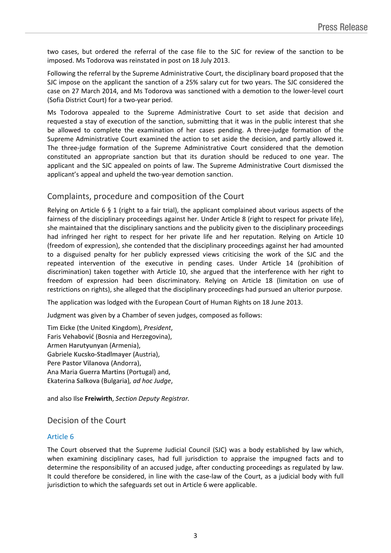two cases, but ordered the referral of the case file to the SJC for review of the sanction to be imposed. Ms Todorova was reinstated in post on 18 July 2013.

Following the referral by the Supreme Administrative Court, the disciplinary board proposed that the SJC impose on the applicant the sanction of a 25% salary cut for two years. The SJC considered the case on 27 March 2014, and Ms Todorova was sanctioned with a demotion to the lower-level court (Sofia District Court) for a two-year period.

Ms Todorova appealed to the Supreme Administrative Court to set aside that decision and requested a stay of execution of the sanction, submitting that it was in the public interest that she be allowed to complete the examination of her cases pending. A three-judge formation of the Supreme Administrative Court examined the action to set aside the decision, and partly allowed it. The three-judge formation of the Supreme Administrative Court considered that the demotion constituted an appropriate sanction but that its duration should be reduced to one year. The applicant and the SJC appealed on points of law. The Supreme Administrative Court dismissed the applicant's appeal and upheld the two-year demotion sanction.

# Complaints, procedure and composition of the Court

Relying on Article 6 § 1 (right to a fair trial), the applicant complained about various aspects of the fairness of the disciplinary proceedings against her. Under Article 8 (right to respect for private life), she maintained that the disciplinary sanctions and the publicity given to the disciplinary proceedings had infringed her right to respect for her private life and her reputation. Relying on Article 10 (freedom of expression), she contended that the disciplinary proceedings against her had amounted to a disguised penalty for her publicly expressed views criticising the work of the SJC and the repeated intervention of the executive in pending cases. Under Article 14 (prohibition of discrimination) taken together with Article 10, she argued that the interference with her right to freedom of expression had been discriminatory. Relying on Article 18 (limitation on use of restrictions on rights), she alleged that the disciplinary proceedings had pursued an ulterior purpose.

The application was lodged with the European Court of Human Rights on 18 June 2013.

Judgment was given by a Chamber of seven judges, composed as follows:

Tim **Eicke** (the United Kingdom), *President*, Faris **Vehabović** (Bosnia and Herzegovina), Armen **Harutyunyan** (Armenia), Gabriele **Kucsko-Stadlmayer** (Austria), Pere **Pastor Vilanova** (Andorra), Ana Maria **Guerra Martins** (Portugal) and, Ekaterina **Salkova** (Bulgaria)*, ad hoc Judge*,

and also Ilse **Freiwirth**, *Section Deputy Registrar.*

## Decision of the Court

#### Article 6

The Court observed that the Supreme Judicial Council (SJC) was a body established by law which, when examining disciplinary cases, had full jurisdiction to appraise the impugned facts and to determine the responsibility of an accused judge, after conducting proceedings as regulated by law. It could therefore be considered, in line with the case-law of the Court, as a judicial body with full jurisdiction to which the safeguards set out in Article 6 were applicable.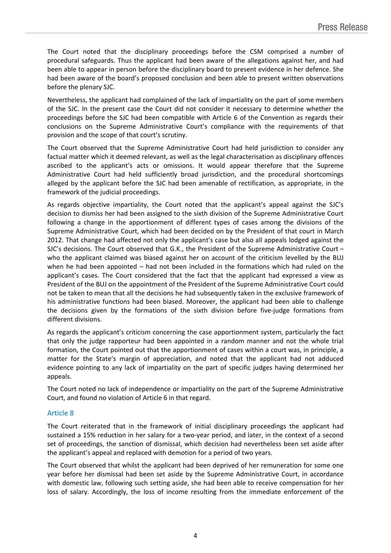The Court noted that the disciplinary proceedings before the CSM comprised a number of procedural safeguards. Thus the applicant had been aware of the allegations against her, and had been able to appear in person before the disciplinary board to present evidence in her defence. She had been aware of the board's proposed conclusion and been able to present written observations before the plenary SJC.

Nevertheless, the applicant had complained of the lack of impartiality on the part of some members of the SJC. In the present case the Court did not consider it necessary to determine whether the proceedings before the SJC had been compatible with Article 6 of the Convention as regards their conclusions on the Supreme Administrative Court's compliance with the requirements of that provision and the scope of that court's scrutiny.

The Court observed that the Supreme Administrative Court had held jurisdiction to consider any factual matter which it deemed relevant, as well as the legal characterisation as disciplinary offences ascribed to the applicant's acts or omissions. It would appear therefore that the Supreme Administrative Court had held sufficiently broad jurisdiction, and the procedural shortcomings alleged by the applicant before the SJC had been amenable of rectification, as appropriate, in the framework of the judicial proceedings.

As regards objective impartiality, the Court noted that the applicant's appeal against the SJC's decision to dismiss her had been assigned to the sixth division of the Supreme Administrative Court following a change in the apportionment of different types of cases among the divisions of the Supreme Administrative Court, which had been decided on by the President of that court in March 2012. That change had affected not only the applicant's case but also all appeals lodged against the SJC's decisions. The Court observed that G.K., the President of the Supreme Administrative Court – who the applicant claimed was biased against her on account of the criticism levelled by the BUJ when he had been appointed – had not been included in the formations which had ruled on the applicant's cases. The Court considered that the fact that the applicant had expressed a view as President of the BUJ on the appointment of the President of the Supreme Administrative Court could not be taken to mean that all the decisions he had subsequently taken in the exclusive framework of his administrative functions had been biased. Moreover, the applicant had been able to challenge the decisions given by the formations of the sixth division before five-judge formations from different divisions.

As regards the applicant's criticism concerning the case apportionment system, particularly the fact that only the judge rapporteur had been appointed in a random manner and not the whole trial formation, the Court pointed out that the apportionment of cases within a court was, in principle, a matter for the State's margin of appreciation, and noted that the applicant had not adduced evidence pointing to any lack of impartiality on the part of specific judges having determined her appeals.

The Court noted no lack of independence or impartiality on the part of the Supreme Administrative Court, and found no violation of Article 6 in that regard.

#### Article 8

The Court reiterated that in the framework of initial disciplinary proceedings the applicant had sustained a 15% reduction in her salary for a two-year period, and later, in the context of a second set of proceedings, the sanction of dismissal, which decision had nevertheless been set aside after the applicant's appeal and replaced with demotion for a period of two years.

The Court observed that whilst the applicant had been deprived of her remuneration for some one year before her dismissal had been set aside by the Supreme Administrative Court, in accordance with domestic law, following such setting aside, she had been able to receive compensation for her loss of salary. Accordingly, the loss of income resulting from the immediate enforcement of the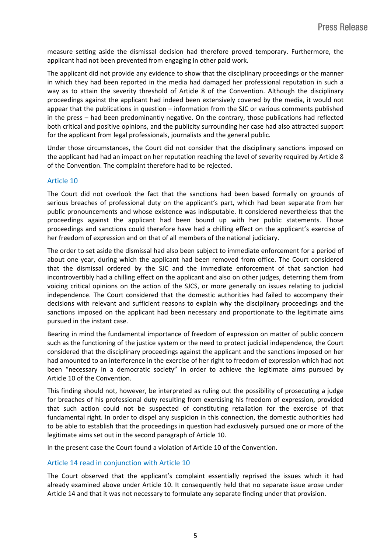measure setting aside the dismissal decision had therefore proved temporary. Furthermore, the applicant had not been prevented from engaging in other paid work.

The applicant did not provide any evidence to show that the disciplinary proceedings or the manner in which they had been reported in the media had damaged her professional reputation in such a way as to attain the severity threshold of Article 8 of the Convention. Although the disciplinary proceedings against the applicant had indeed been extensively covered by the media, it would not appear that the publications in question – information from the SJC or various comments published in the press – had been predominantly negative. On the contrary, those publications had reflected both critical and positive opinions, and the publicity surrounding her case had also attracted support for the applicant from legal professionals, journalists and the general public.

Under those circumstances, the Court did not consider that the disciplinary sanctions imposed on the applicant had had an impact on her reputation reaching the level of severity required by Article 8 of the Convention. The complaint therefore had to be rejected.

#### Article 10

The Court did not overlook the fact that the sanctions had been based formally on grounds of serious breaches of professional duty on the applicant's part, which had been separate from her public pronouncements and whose existence was indisputable. It considered nevertheless that the proceedings against the applicant had been bound up with her public statements. Those proceedings and sanctions could therefore have had a chilling effect on the applicant's exercise of her freedom of expression and on that of all members of the national judiciary.

The order to set aside the dismissal had also been subject to immediate enforcement for a period of about one year, during which the applicant had been removed from office. The Court considered that the dismissal ordered by the SJC and the immediate enforcement of that sanction had incontrovertibly had a chilling effect on the applicant and also on other judges, deterring them from voicing critical opinions on the action of the SJCS, or more generally on issues relating to judicial independence. The Court considered that the domestic authorities had failed to accompany their decisions with relevant and sufficient reasons to explain why the disciplinary proceedings and the sanctions imposed on the applicant had been necessary and proportionate to the legitimate aims pursued in the instant case.

Bearing in mind the fundamental importance of freedom of expression on matter of public concern such as the functioning of the justice system or the need to protect judicial independence, the Court considered that the disciplinary proceedings against the applicant and the sanctions imposed on her had amounted to an interference in the exercise of her right to freedom of expression which had not been "necessary in a democratic society" in order to achieve the legitimate aims pursued by Article 10 of the Convention.

This finding should not, however, be interpreted as ruling out the possibility of prosecuting a judge for breaches of his professional duty resulting from exercising his freedom of expression, provided that such action could not be suspected of constituting retaliation for the exercise of that fundamental right. In order to dispel any suspicion in this connection, the domestic authorities had to be able to establish that the proceedings in question had exclusively pursued one or more of the legitimate aims set out in the second paragraph of Article 10.

In the present case the Court found a violation of Article 10 of the Convention.

#### Article 14 read in conjunction with Article 10

The Court observed that the applicant's complaint essentially reprised the issues which it had already examined above under Article 10. It consequently held that no separate issue arose under Article 14 and that it was not necessary to formulate any separate finding under that provision.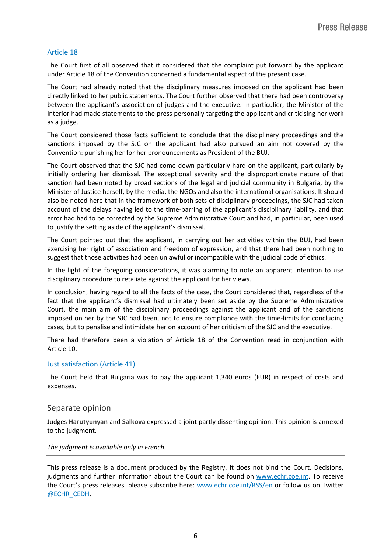### Article 18

The Court first of all observed that it considered that the complaint put forward by the applicant under Article 18 of the Convention concerned a fundamental aspect of the present case.

The Court had already noted that the disciplinary measures imposed on the applicant had been directly linked to her public statements. The Court further observed that there had been controversy between the applicant's association of judges and the executive. In particulier, the Minister of the Interior had made statements to the press personally targeting the applicant and criticising her work as a judge.

The Court considered those facts sufficient to conclude that the disciplinary proceedings and the sanctions imposed by the SJC on the applicant had also pursued an aim not covered by the Convention: punishing her for her pronouncements as President of the BUJ.

The Court observed that the SJC had come down particularly hard on the applicant, particularly by initially ordering her dismissal. The exceptional severity and the disproportionate nature of that sanction had been noted by broad sections of the legal and judicial community in Bulgaria, by the Minister of Justice herself, by the media, the NGOs and also the international organisations. It should also be noted here that in the framework of both sets of disciplinary proceedings, the SJC had taken account of the delays having led to the time-barring of the applicant's disciplinary liability, and that error had had to be corrected by the Supreme Administrative Court and had, in particular, been used to justify the setting aside of the applicant's dismissal.

The Court pointed out that the applicant, in carrying out her activities within the BUJ, had been exercising her right of association and freedom of expression, and that there had been nothing to suggest that those activities had been unlawful or incompatible with the judicial code of ethics.

In the light of the foregoing considerations, it was alarming to note an apparent intention to use disciplinary procedure to retaliate against the applicant for her views.

In conclusion, having regard to all the facts of the case, the Court considered that, regardless of the fact that the applicant's dismissal had ultimately been set aside by the Supreme Administrative Court, the main aim of the disciplinary proceedings against the applicant and of the sanctions imposed on her by the SJC had been, not to ensure compliance with the time-limits for concluding cases, but to penalise and intimidate her on account of her criticism of the SJC and the executive.

There had therefore been a violation of Article 18 of the Convention read in conjunction with Article 10.

#### Just satisfaction (Article 41)

The Court held that Bulgaria was to pay the applicant 1,340 euros (EUR) in respect of costs and expenses.

#### Separate opinion

Judges **Harutyunyan** and **Salkova** expressed a joint partly dissenting opinion. This opinion is annexed to the judgment.

#### *The judgment is available only in French.*

This press release is a document produced by the Registry. It does not bind the Court. Decisions, judgments and further information about the Court can be found on [www.echr.coe.int](http://www.echr.coe.int/). To receive the Court's press releases, please subscribe here: [www.echr.coe.int/RSS/en](http://www.echr.coe.int/RSS/en) or follow us on Twitter [@ECHR\\_CEDH](https://twitter.com/ECHR_CEDH).